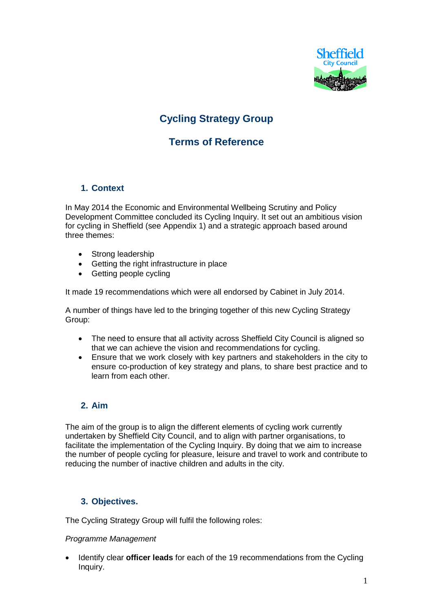

# **Cycling Strategy Group**

# **Terms of Reference**

## **1. Context**

In May 2014 the Economic and Environmental Wellbeing Scrutiny and Policy Development Committee concluded its Cycling Inquiry. It set out an ambitious vision for cycling in Sheffield (see Appendix 1) and a strategic approach based around three themes:

- Strong leadership
- Getting the right infrastructure in place
- Getting people cycling

It made 19 recommendations which were all endorsed by Cabinet in July 2014.

A number of things have led to the bringing together of this new Cycling Strategy Group:

- The need to ensure that all activity across Sheffield City Council is aligned so that we can achieve the vision and recommendations for cycling.
- Ensure that we work closely with key partners and stakeholders in the city to ensure co-production of key strategy and plans, to share best practice and to learn from each other.

## **2. Aim**

The aim of the group is to align the different elements of cycling work currently undertaken by Sheffield City Council, and to align with partner organisations, to facilitate the implementation of the Cycling Inquiry. By doing that we aim to increase the number of people cycling for pleasure, leisure and travel to work and contribute to reducing the number of inactive children and adults in the city.

## **3. Objectives.**

The Cycling Strategy Group will fulfil the following roles:

#### *Programme Management*

 Identify clear **officer leads** for each of the 19 recommendations from the Cycling Inquiry.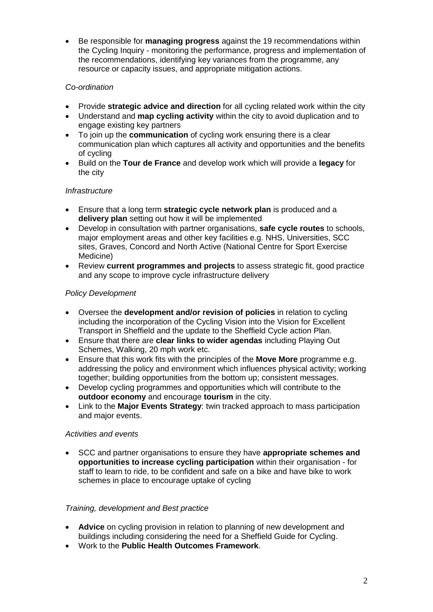Be responsible for **managing progress** against the 19 recommendations within the Cycling Inquiry - monitoring the performance, progress and implementation of the recommendations, identifying key variances from the programme, any resource or capacity issues, and appropriate mitigation actions.

## *Co-ordination*

- Provide **strategic advice and direction** for all cycling related work within the city
- Understand and **map cycling activity** within the city to avoid duplication and to engage existing key partners
- To join up the **communication** of cycling work ensuring there is a clear communication plan which captures all activity and opportunities and the benefits of cycling
- Build on the **Tour de France** and develop work which will provide a **legacy** for the city

### *Infrastructure*

- Ensure that a long term **strategic cycle network plan** is produced and a **delivery plan** setting out how it will be implemented
- Develop in consultation with partner organisations, **safe cycle routes** to schools, major employment areas and other key facilities e.g. NHS, Universities, SCC sites, Graves, Concord and North Active (National Centre for Sport Exercise Medicine)
- Review **current programmes and projects** to assess strategic fit, good practice and any scope to improve cycle infrastructure delivery

#### *Policy Development*

- Oversee the **development and/or revision of policies** in relation to cycling including the incorporation of the Cycling Vision into the Vision for Excellent Transport in Sheffield and the update to the Sheffield Cycle action Plan.
- Ensure that there are **clear links to wider agendas** including Playing Out Schemes, Walking, 20 mph work etc.
- Ensure that this work fits with the principles of the **Move More** programme e.g. addressing the policy and environment which influences physical activity; working together; building opportunities from the bottom up; consistent messages.
- Develop cycling programmes and opportunities which will contribute to the **outdoor economy** and encourage **tourism** in the city.
- Link to the **Major Events Strategy**: twin tracked approach to mass participation and major events.

#### *Activities and events*

 SCC and partner organisations to ensure they have **appropriate schemes and opportunities to increase cycling participation** within their organisation - for staff to learn to ride, to be confident and safe on a bike and have bike to work schemes in place to encourage uptake of cycling

#### *Training, development and Best practice*

- **Advice** on cycling provision in relation to planning of new development and buildings including considering the need for a Sheffield Guide for Cycling.
- Work to the **Public Health Outcomes Framework**.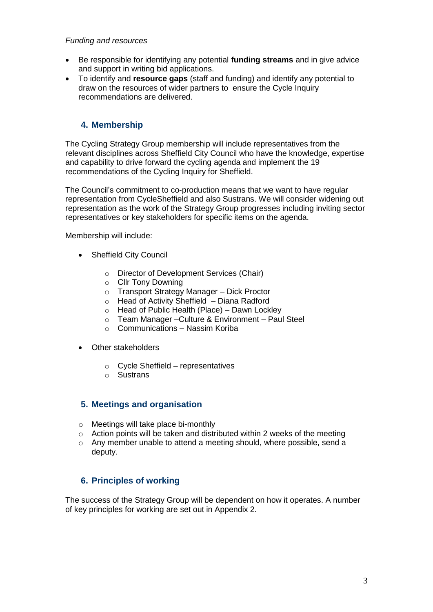#### *Funding and resources*

- Be responsible for identifying any potential **funding streams** and in give advice and support in writing bid applications.
- To identify and **resource gaps** (staff and funding) and identify any potential to draw on the resources of wider partners to ensure the Cycle Inquiry recommendations are delivered.

## **4. Membership**

The Cycling Strategy Group membership will include representatives from the relevant disciplines across Sheffield City Council who have the knowledge, expertise and capability to drive forward the cycling agenda and implement the 19 recommendations of the Cycling Inquiry for Sheffield.

The Council's commitment to co-production means that we want to have regular representation from CycleSheffield and also Sustrans. We will consider widening out representation as the work of the Strategy Group progresses including inviting sector representatives or key stakeholders for specific items on the agenda.

Membership will include:

- Sheffield City Council
	- o Director of Development Services (Chair)
	- o Cllr Tony Downing
	- o Transport Strategy Manager Dick Proctor
	- o Head of Activity Sheffield Diana Radford
	- o Head of Public Health (Place) Dawn Lockley
	- o Team Manager –Culture & Environment Paul Steel
	- $\circ$  Communications Nassim Koriba
- Other stakeholders
	- o Cycle Sheffield representatives
	- o Sustrans

### **5. Meetings and organisation**

- o Meetings will take place bi-monthly
- o Action points will be taken and distributed within 2 weeks of the meeting
- o Any member unable to attend a meeting should, where possible, send a deputy.

## **6. Principles of working**

The success of the Strategy Group will be dependent on how it operates. A number of key principles for working are set out in Appendix 2.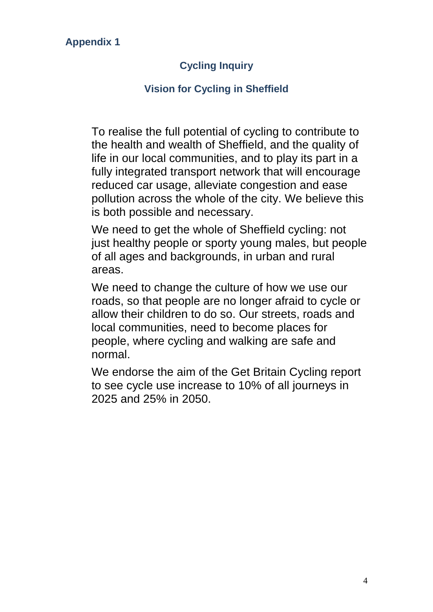## **Appendix 1**

# **Cycling Inquiry**

## **Vision for Cycling in Sheffield**

To realise the full potential of cycling to contribute to the health and wealth of Sheffield, and the quality of life in our local communities, and to play its part in a fully integrated transport network that will encourage reduced car usage, alleviate congestion and ease pollution across the whole of the city. We believe this is both possible and necessary.

We need to get the whole of Sheffield cycling: not just healthy people or sporty young males, but people of all ages and backgrounds, in urban and rural areas.

We need to change the culture of how we use our roads, so that people are no longer afraid to cycle or allow their children to do so. Our streets, roads and local communities, need to become places for people, where cycling and walking are safe and normal.

We endorse the aim of the Get Britain Cycling report to see cycle use increase to 10% of all journeys in 2025 and 25% in 2050.